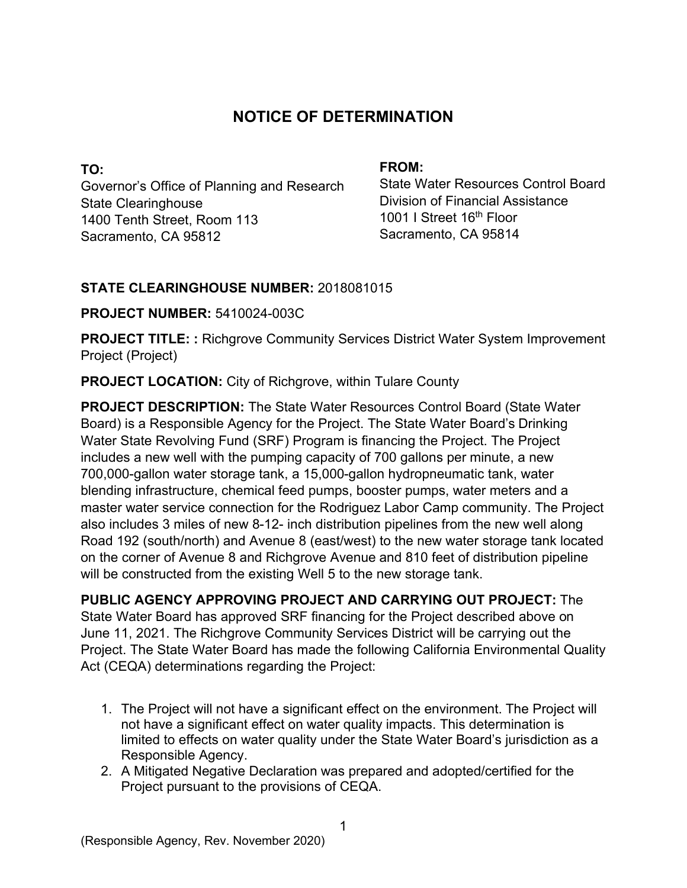# **NOTICE OF DETERMINATION**

**TO:**  Governor's Office of Planning and Research State Clearinghouse 1400 Tenth Street, Room 113 Sacramento, CA 95812

#### **FROM:**

State Water Resources Control Board Division of Financial Assistance 1001 I Street 16<sup>th</sup> Floor Sacramento, CA 95814

# **STATE CLEARINGHOUSE NUMBER:** 2018081015

## **PROJECT NUMBER:** 5410024-003C

**PROJECT TITLE: :** Richgrove Community Services District Water System Improvement Project (Project)

**PROJECT LOCATION:** City of Richgrove, within Tulare County

**PROJECT DESCRIPTION:** The State Water Resources Control Board (State Water Board) is a Responsible Agency for the Project. The State Water Board's Drinking Water State Revolving Fund (SRF) Program is financing the Project. The Project includes a new well with the pumping capacity of 700 gallons per minute, a new 700,000-gallon water storage tank, a 15,000-gallon hydropneumatic tank, water blending infrastructure, chemical feed pumps, booster pumps, water meters and a master water service connection for the Rodriguez Labor Camp community. The Project also includes 3 miles of new 8-12- inch distribution pipelines from the new well along Road 192 (south/north) and Avenue 8 (east/west) to the new water storage tank located on the corner of Avenue 8 and Richgrove Avenue and 810 feet of distribution pipeline will be constructed from the existing Well 5 to the new storage tank.

**PUBLIC AGENCY APPROVING PROJECT AND CARRYING OUT PROJECT:** The State Water Board has approved SRF financing for the Project described above on June 11, 2021. The Richgrove Community Services District will be carrying out the Project. The State Water Board has made the following California Environmental Quality Act (CEQA) determinations regarding the Project:

- 1. The Project will not have a significant effect on the environment. The Project will not have a significant effect on water quality impacts. This determination is limited to effects on water quality under the State Water Board's jurisdiction as a Responsible Agency.
- 2. A Mitigated Negative Declaration was prepared and adopted/certified for the Project pursuant to the provisions of CEQA.